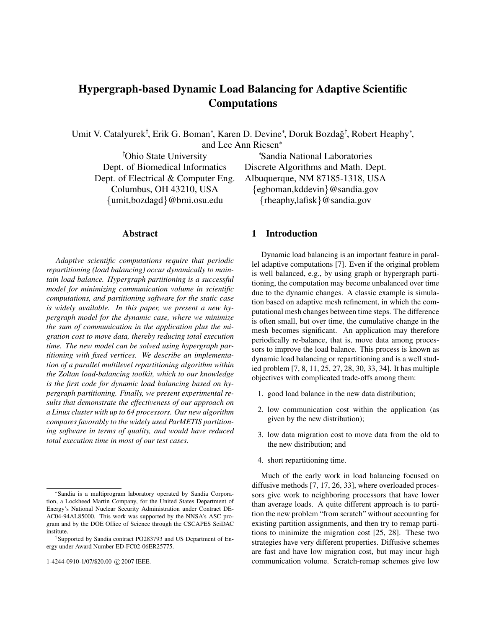# Hypergraph-based Dynamic Load Balancing for Adaptive Scientific Computations

Umit V. Catalyurek<sup>†</sup>, Erik G. Boman<sup>∗</sup>, Karen D. Devine<sup>∗</sup>, Doruk Bozdağ<sup>†</sup>, Robert Heaphy<sup>∗</sup>, and Lee Ann Riesen<sup>∗</sup>

## Abstract

*Adaptive scientific computations require that periodic repartitioning (load balancing) occur dynamically to maintain load balance. Hypergraph partitioning is a successful model for minimizing communication volume in scientific computations, and partitioning software for the static case is widely available. In this paper, we present a new hypergraph model for the dynamic case, where we minimize the sum of communication in the application plus the migration cost to move data, thereby reducing total execution time. The new model can be solved using hypergraph partitioning with fixed vertices. We describe an implementation of a parallel multilevel repartitioning algorithm within the Zoltan load-balancing toolkit, which to our knowledge is the first code for dynamic load balancing based on hypergraph partitioning. Finally, we present experimental results that demonstrate the effectiveness of our approach on a Linux cluster with up to 64 processors. Our new algorithm compares favorably to the widely used ParMETIS partitioning software in terms of quality, and would have reduced total execution time in most of our test cases.*

1-4244-0910-1/07/\$20.00 C 2007 IEEE.

†Ohio State University <sup>∗</sup>Sandia National Laboratories Dept. of Biomedical Informatics Discrete Algorithms and Math. Dept. Dept. of Electrical & Computer Eng. Albuquerque, NM 87185-1318, USA Columbus, OH 43210, USA {egboman,kddevin}@sandia.gov {umit,bozdagd}@bmi.osu.edu {rheaphy,lafisk}@sandia.gov

# 1 Introduction

Dynamic load balancing is an important feature in parallel adaptive computations [7]. Even if the original problem is well balanced, e.g., by using graph or hypergraph partitioning, the computation may become unbalanced over time due to the dynamic changes. A classic example is simulation based on adaptive mesh refinement, in which the computational mesh changes between time steps. The difference is often small, but over time, the cumulative change in the mesh becomes significant. An application may therefore periodically re-balance, that is, move data among processors to improve the load balance. This process is known as dynamic load balancing or repartitioning and is a well studied problem [7, 8, 11, 25, 27, 28, 30, 33, 34]. It has multiple objectives with complicated trade-offs among them:

- 1. good load balance in the new data distribution;
- 2. low communication cost within the application (as given by the new distribution);
- 3. low data migration cost to move data from the old to the new distribution; and
- 4. short repartitioning time.

Much of the early work in load balancing focused on diffusive methods [7, 17, 26, 33], where overloaded processors give work to neighboring processors that have lower than average loads. A quite different approach is to partition the new problem "from scratch" without accounting for existing partition assignments, and then try to remap partitions to minimize the migration cost [25, 28]. These two strategies have very different properties. Diffusive schemes are fast and have low migration cost, but may incur high communication volume. Scratch-remap schemes give low

<sup>∗</sup>Sandia is a multiprogram laboratory operated by Sandia Corporation, a Lockheed Martin Company, for the United States Department of Energy's National Nuclear Security Administration under Contract DE-AC04-94AL85000. This work was supported by the NNSA's ASC program and by the DOE Office of Science through the CSCAPES SciDAC institute.

<sup>†</sup>Supported by Sandia contract PO283793 and US Department of Energy under Award Number ED-FC02-06ER25775.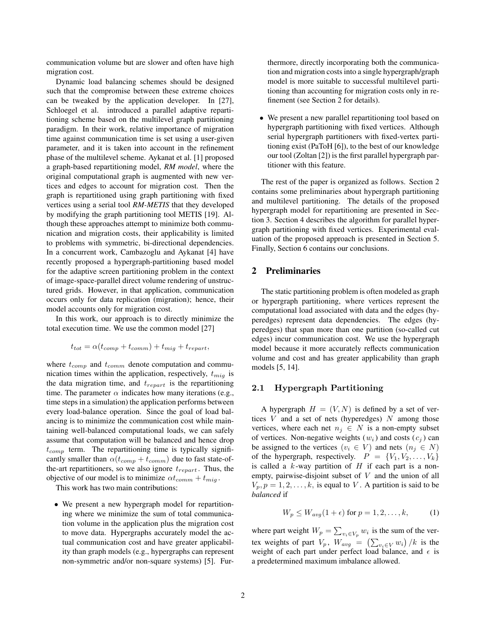communication volume but are slower and often have high migration cost.

Dynamic load balancing schemes should be designed such that the compromise between these extreme choices can be tweaked by the application developer. In [27], Schloegel et al. introduced a parallel adaptive repartitioning scheme based on the multilevel graph partitioning paradigm. In their work, relative importance of migration time against communication time is set using a user-given parameter, and it is taken into account in the refinement phase of the multilevel scheme. Aykanat et al. [1] proposed a graph-based repartitioning model, *RM model*, where the original computational graph is augmented with new vertices and edges to account for migration cost. Then the graph is repartitioned using graph partitioning with fixed vertices using a serial tool *RM-METIS* that they developed by modifying the graph partitioning tool METIS [19]. Although these approaches attempt to minimize both communication and migration costs, their applicability is limited to problems with symmetric, bi-directional dependencies. In a concurrent work, Cambazoglu and Aykanat [4] have recently proposed a hypergraph-partitioning based model for the adaptive screen partitioning problem in the context of image-space-parallel direct volume rendering of unstructured grids. However, in that application, communication occurs only for data replication (migration); hence, their model accounts only for migration cost.

In this work, our approach is to directly minimize the total execution time. We use the common model [27]

$$
t_{tot} = \alpha (t_{comp} + t_{comm}) + t_{mig} + t_{report},
$$

where  $t_{comp}$  and  $t_{comm}$  denote computation and communication times within the application, respectively,  $t_{mig}$  is the data migration time, and  $t_{report}$  is the repartitioning time. The parameter  $\alpha$  indicates how many iterations (e.g., time steps in a simulation) the application performs between every load-balance operation. Since the goal of load balancing is to minimize the communication cost while maintaining well-balanced computational loads, we can safely assume that computation will be balanced and hence drop  $t_{comp}$  term. The repartitioning time is typically significantly smaller than  $\alpha(t_{comp} + t_{comm})$  due to fast state-ofthe-art repartitioners, so we also ignore  $t_{report}$ . Thus, the objective of our model is to minimize  $\alpha t_{comm} + t_{mig}$ .

This work has two main contributions:

• We present a new hypergraph model for repartitioning where we minimize the sum of total communication volume in the application plus the migration cost to move data. Hypergraphs accurately model the actual communication cost and have greater applicability than graph models (e.g., hypergraphs can represent non-symmetric and/or non-square systems) [5]. Furthermore, directly incorporating both the communication and migration costs into a single hypergraph/graph model is more suitable to successful multilevel partitioning than accounting for migration costs only in refinement (see Section 2 for details).

• We present a new parallel repartitioning tool based on hypergraph partitioning with fixed vertices. Although serial hypergraph partitioners with fixed-vertex partitioning exist (PaToH [6]), to the best of our knowledge our tool (Zoltan [2]) is the first parallel hypergraph partitioner with this feature.

The rest of the paper is organized as follows. Section 2 contains some preliminaries about hypergraph partitioning and multilevel partitioning. The details of the proposed hypergraph model for repartitioning are presented in Section 3. Section 4 describes the algorithm for parallel hypergraph partitioning with fixed vertices. Experimental evaluation of the proposed approach is presented in Section 5. Finally, Section 6 contains our conclusions.

#### 2 Preliminaries

The static partitioning problem is often modeled as graph or hypergraph partitioning, where vertices represent the computational load associated with data and the edges (hyperedges) represent data dependencies. The edges (hyperedges) that span more than one partition (so-called cut edges) incur communication cost. We use the hypergraph model because it more accurately reflects communication volume and cost and has greater applicability than graph models [5, 14].

# 2.1 Hypergraph Partitioning

A hypergraph  $H = (V, N)$  is defined by a set of vertices  $V$  and a set of nets (hyperedges)  $N$  among those vertices, where each net  $n_i \in N$  is a non-empty subset of vertices. Non-negative weights  $(w_i)$  and costs  $(c_i)$  can be assigned to the vertices  $(v_i \in V)$  and nets  $(n_i \in N)$ of the hypergraph, respectively.  $P = \{V_1, V_2, \ldots, V_k\}$ is called a  $k$ -way partition of  $H$  if each part is a nonempty, pairwise-disjoint subset of  $V$  and the union of all  $V_p, p = 1, 2, \ldots, k$ , is equal to V. A partition is said to be *balanced* if

$$
W_p \le W_{avg}(1+\epsilon) \text{ for } p=1,2,\ldots,k,
$$
 (1)

where part weight  $W_p = \sum_{v_i \in V_p} w_i$  is the sum of the vertex weights of part  $V_p$ ,  $W_{avg} = (\sum_{v_i \in V} w_i) / k$  is the weight of each part under perfect load balance, and  $\epsilon$  is a predetermined maximum imbalance allowed.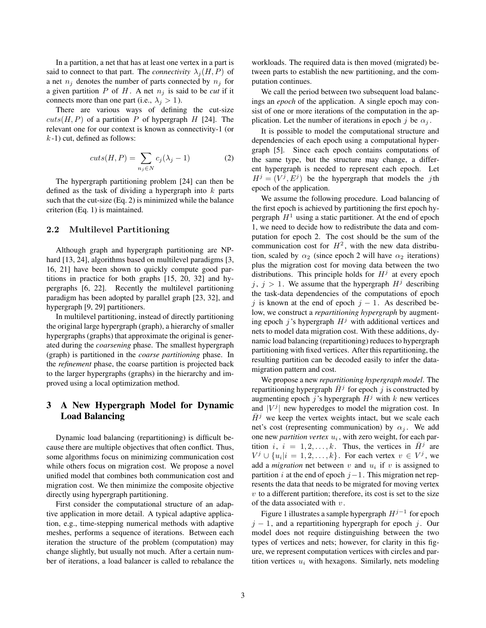In a partition, a net that has at least one vertex in a part is said to connect to that part. The *connectivity*  $\lambda_i(H, P)$  of a net  $n_i$  denotes the number of parts connected by  $n_i$  for a given partition  $P$  of  $H$ . A net  $n_j$  is said to be *cut* if it connects more than one part (i.e.,  $\lambda_i > 1$ ).

There are various ways of defining the cut-size  $cuts(H, P)$  of a partition P of hypergraph H [24]. The relevant one for our context is known as connectivity-1 (or  $k-1$ ) cut, defined as follows:

$$
cuts(H, P) = \sum_{n_j \in N} c_j (\lambda_j - 1)
$$
 (2)

The hypergraph partitioning problem [24] can then be defined as the task of dividing a hypergraph into  $k$  parts such that the cut-size (Eq. 2) is minimized while the balance criterion (Eq. 1) is maintained.

#### 2.2 Multilevel Partitioning

Although graph and hypergraph partitioning are NPhard [13, 24], algorithms based on multilevel paradigms [3, 16, 21] have been shown to quickly compute good partitions in practice for both graphs [15, 20, 32] and hypergraphs [6, 22]. Recently the multilevel partitioning paradigm has been adopted by parallel graph [23, 32], and hypergraph [9, 29] partitioners.

In multilevel partitioning, instead of directly partitioning the original large hypergraph (graph), a hierarchy of smaller hypergraphs (graphs) that approximate the original is generated during the *coarsening* phase. The smallest hypergraph (graph) is partitioned in the *coarse partitioning* phase. In the *refinement* phase, the coarse partition is projected back to the larger hypergraphs (graphs) in the hierarchy and improved using a local optimization method.

# 3 A New Hypergraph Model for Dynamic Load Balancing

Dynamic load balancing (repartitioning) is difficult because there are multiple objectives that often conflict. Thus, some algorithms focus on minimizing communication cost while others focus on migration cost. We propose a novel unified model that combines both communication cost and migration cost. We then minimize the composite objective directly using hypergraph partitioning.

First consider the computational structure of an adaptive application in more detail. A typical adaptive application, e.g., time-stepping numerical methods with adaptive meshes, performs a sequence of iterations. Between each iteration the structure of the problem (computation) may change slightly, but usually not much. After a certain number of iterations, a load balancer is called to rebalance the workloads. The required data is then moved (migrated) between parts to establish the new partitioning, and the computation continues.

We call the period between two subsequent load balancings an *epoch* of the application. A single epoch may consist of one or more iterations of the computation in the application. Let the number of iterations in epoch j be  $\alpha_i$ .

It is possible to model the computational structure and dependencies of each epoch using a computational hypergraph [5]. Since each epoch contains computations of the same type, but the structure may change, a different hypergraph is needed to represent each epoch. Let  $H^j = (V^j, E^j)$  be the hypergraph that models the jth epoch of the application.

We assume the following procedure. Load balancing of the first epoch is achieved by partitioning the first epoch hypergraph  $H<sup>1</sup>$  using a static partitioner. At the end of epoch 1, we need to decide how to redistribute the data and computation for epoch 2. The cost should be the sum of the communication cost for  $H^2$ , with the new data distribution, scaled by  $\alpha_2$  (since epoch 2 will have  $\alpha_2$  iterations) plus the migration cost for moving data between the two distributions. This principle holds for  $H<sup>j</sup>$  at every epoch  $j, j > 1$ . We assume that the hypergraph  $H<sup>j</sup>$  describing the task-data dependencies of the computations of epoch j is known at the end of epoch  $j - 1$ . As described below, we construct a *repartitioning hypergraph* by augmenting epoch j's hypergraph  $H<sup>j</sup>$  with additional vertices and nets to model data migration cost. With these additions, dynamic load balancing (repartitioning) reduces to hypergraph partitioning with fixed vertices. After this repartitioning, the resulting partition can be decoded easily to infer the datamigration pattern and cost.

We propose a new *repartitioning hypergraph model*. The repartitioning hypergraph  $\bar{H}^j$  for epoch j is constructed by augmenting epoch j's hypergraph  $H^j$  with k new vertices and  $|V^j|$  new hyperedges to model the migration cost. In  $\bar{H}^j$  we keep the vertex weights intact, but we scale each net's cost (representing communication) by  $\alpha_i$ . We add one new *partition vertex*  $u_i$ , with zero weight, for each partition i,  $i = 1, 2, ..., k$ . Thus, the vertices in  $\overline{H}^{j}$  are  $V^j \cup \{u_i | i = 1, 2, \dots, k\}$ . For each vertex  $v \in V^j$ , we add a *migration* net between  $v$  and  $u_i$  if  $v$  is assigned to partition *i* at the end of epoch  $j-1$ . This migration net represents the data that needs to be migrated for moving vertex  $v$  to a different partition; therefore, its cost is set to the size of the data associated with  $v$ .

Figure 1 illustrates a sample hypergraph  $H^{j-1}$  for epoch  $j - 1$ , and a repartitioning hypergraph for epoch j. Our model does not require distinguishing between the two types of vertices and nets; however, for clarity in this figure, we represent computation vertices with circles and partition vertices  $u_i$  with hexagons. Similarly, nets modeling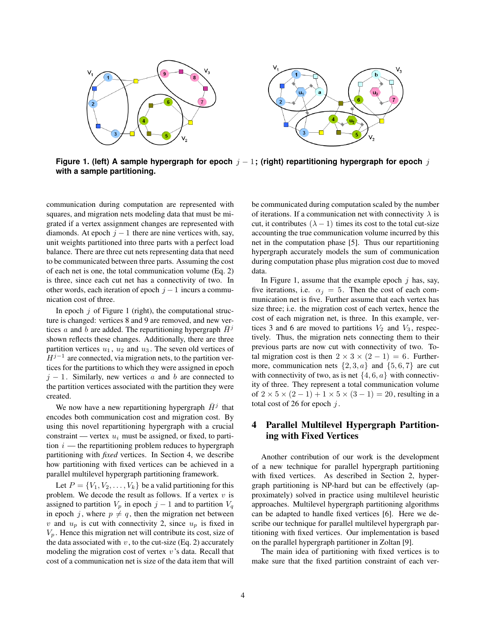

**Figure 1. (left) A sample hypergraph for epoch** j − 1**; (right) repartitioning hypergraph for epoch** j **with a sample partitioning.**

communication during computation are represented with squares, and migration nets modeling data that must be migrated if a vertex assignment changes are represented with diamonds. At epoch  $j - 1$  there are nine vertices with, say, unit weights partitioned into three parts with a perfect load balance. There are three cut nets representing data that need to be communicated between three parts. Assuming the cost of each net is one, the total communication volume (Eq. 2) is three, since each cut net has a connectivity of two. In other words, each iteration of epoch  $j - 1$  incurs a communication cost of three.

In epoch  $j$  of Figure 1 (right), the computational structure is changed: vertices 8 and 9 are removed, and new vertices a and b are added. The repartitioning hypergraph  $\bar{H}^j$ shown reflects these changes. Additionally, there are three partition vertices  $u_1$ ,  $u_2$  and  $u_3$ . The seven old vertices of  $H^{j-1}$  are connected, via migration nets, to the partition vertices for the partitions to which they were assigned in epoch  $j - 1$ . Similarly, new vertices a and b are connected to the partition vertices associated with the partition they were created.

We now have a new repartitioning hypergraph  $\bar{H}^j$  that encodes both communication cost and migration cost. By using this novel repartitioning hypergraph with a crucial constraint — vertex  $u_i$  must be assigned, or fixed, to partition  $i$  — the repartitioning problem reduces to hypergraph partitioning with *fixed* vertices. In Section 4, we describe how partitioning with fixed vertices can be achieved in a parallel multilevel hypergraph partitioning framework.

Let  $P = \{V_1, V_2, \ldots, V_k\}$  be a valid partitioning for this problem. We decode the result as follows. If a vertex  $v$  is assigned to partition  $V_p$  in epoch  $j - 1$  and to partition  $V_q$ in epoch j, where  $p \neq q$ , then the migration net between v and  $u_p$  is cut with connectivity 2, since  $u_p$  is fixed in  $V_p$ . Hence this migration net will contribute its cost, size of the data associated with  $v$ , to the cut-size (Eq. 2) accurately modeling the migration cost of vertex  $v$ 's data. Recall that cost of a communication net is size of the data item that will be communicated during computation scaled by the number of iterations. If a communication net with connectivity  $\lambda$  is cut, it contributes  $(\lambda - 1)$  times its cost to the total cut-size accounting the true communication volume incurred by this net in the computation phase [5]. Thus our repartitioning hypergraph accurately models the sum of communication during computation phase plus migration cost due to moved data.

In Figure 1, assume that the example epoch  $j$  has, say, five iterations, i.e.  $\alpha_j = 5$ . Then the cost of each communication net is five. Further assume that each vertex has size three; i.e. the migration cost of each vertex, hence the cost of each migration net, is three. In this example, vertices 3 and 6 are moved to partitions  $V_2$  and  $V_3$ , respectively. Thus, the migration nets connecting them to their previous parts are now cut with connectivity of two. Total migration cost is then  $2 \times 3 \times (2 - 1) = 6$ . Furthermore, communication nets  $\{2, 3, a\}$  and  $\{5, 6, 7\}$  are cut with connectivity of two, as is net  $\{4, 6, a\}$  with connectivity of three. They represent a total communication volume of  $2 \times 5 \times (2 - 1) + 1 \times 5 \times (3 - 1) = 20$ , resulting in a total cost of 26 for epoch  $i$ .

# 4 Parallel Multilevel Hypergraph Partitioning with Fixed Vertices

Another contribution of our work is the development of a new technique for parallel hypergraph partitioning with fixed vertices. As described in Section 2, hypergraph partitioning is NP-hard but can be effectively (approximately) solved in practice using multilevel heuristic approaches. Multilevel hypergraph partitioning algorithms can be adapted to handle fixed vertices [6]. Here we describe our technique for parallel multilevel hypergraph partitioning with fixed vertices. Our implementation is based on the parallel hypergraph partitioner in Zoltan [9].

The main idea of partitioning with fixed vertices is to make sure that the fixed partition constraint of each ver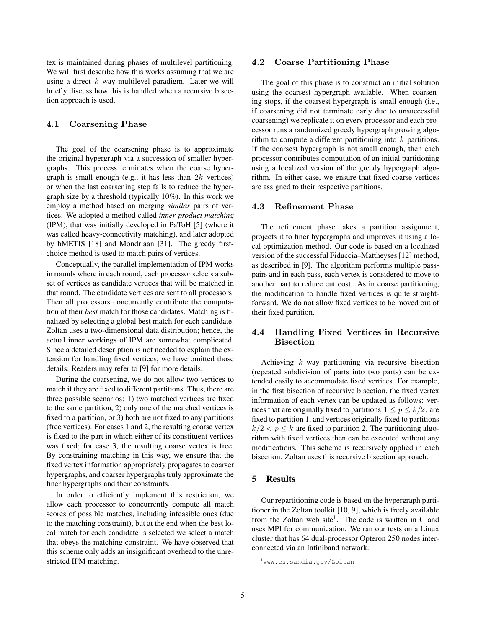tex is maintained during phases of multilevel partitioning. We will first describe how this works assuming that we are using a direct  $k$ -way multilevel paradigm. Later we will briefly discuss how this is handled when a recursive bisection approach is used.

#### 4.1 Coarsening Phase

The goal of the coarsening phase is to approximate the original hypergraph via a succession of smaller hypergraphs. This process terminates when the coarse hypergraph is small enough (e.g., it has less than  $2k$  vertices) or when the last coarsening step fails to reduce the hypergraph size by a threshold (typically 10%). In this work we employ a method based on merging *similar* pairs of vertices. We adopted a method called *inner-product matching* (IPM), that was initially developed in PaToH [5] (where it was called heavy-connectivity matching), and later adopted by hMETIS [18] and Mondriaan [31]. The greedy firstchoice method is used to match pairs of vertices.

Conceptually, the parallel implementation of IPM works in rounds where in each round, each processor selects a subset of vertices as candidate vertices that will be matched in that round. The candidate vertices are sent to all processors. Then all processors concurrently contribute the computation of their *best* match for those candidates. Matching is finalized by selecting a global best match for each candidate. Zoltan uses a two-dimensional data distribution; hence, the actual inner workings of IPM are somewhat complicated. Since a detailed description is not needed to explain the extension for handling fixed vertices, we have omitted those details. Readers may refer to [9] for more details.

During the coarsening, we do not allow two vertices to match if they are fixed to different partitions. Thus, there are three possible scenarios: 1) two matched vertices are fixed to the same partition, 2) only one of the matched vertices is fixed to a partition, or 3) both are not fixed to any partitions (free vertices). For cases 1 and 2, the resulting coarse vertex is fixed to the part in which either of its constituent vertices was fixed; for case 3, the resulting coarse vertex is free. By constraining matching in this way, we ensure that the fixed vertex information appropriately propagates to coarser hypergraphs, and coarser hypergraphs truly approximate the finer hypergraphs and their constraints.

In order to efficiently implement this restriction, we allow each processor to concurrently compute all match scores of possible matches, including infeasible ones (due to the matching constraint), but at the end when the best local match for each candidate is selected we select a match that obeys the matching constraint. We have observed that this scheme only adds an insignificant overhead to the unrestricted IPM matching.

#### 4.2 Coarse Partitioning Phase

The goal of this phase is to construct an initial solution using the coarsest hypergraph available. When coarsening stops, if the coarsest hypergraph is small enough (i.e., if coarsening did not terminate early due to unsuccessful coarsening) we replicate it on every processor and each processor runs a randomized greedy hypergraph growing algorithm to compute a different partitioning into  $k$  partitions. If the coarsest hypergraph is not small enough, then each processor contributes computation of an initial partitioning using a localized version of the greedy hypergraph algorithm. In either case, we ensure that fixed coarse vertices are assigned to their respective partitions.

# 4.3 Refinement Phase

The refinement phase takes a partition assignment, projects it to finer hypergraphs and improves it using a local optimization method. Our code is based on a localized version of the successful Fiduccia–Mattheyses [12] method, as described in [9]. The algorithm performs multiple passpairs and in each pass, each vertex is considered to move to another part to reduce cut cost. As in coarse partitioning, the modification to handle fixed vertices is quite straightforward. We do not allow fixed vertices to be moved out of their fixed partition.

# 4.4 Handling Fixed Vertices in Recursive Bisection

Achieving  $k$ -way partitioning via recursive bisection (repeated subdivision of parts into two parts) can be extended easily to accommodate fixed vertices. For example, in the first bisection of recursive bisection, the fixed vertex information of each vertex can be updated as follows: vertices that are originally fixed to partitions  $1 \le p \le k/2$ , are fixed to partition 1, and vertices originally fixed to partitions  $k/2 < p \le k$  are fixed to partition 2. The partitioning algorithm with fixed vertices then can be executed without any modifications. This scheme is recursively applied in each bisection. Zoltan uses this recursive bisection approach.

# 5 Results

Our repartitioning code is based on the hypergraph partitioner in the Zoltan toolkit [10, 9], which is freely available from the Zoltan web site<sup>1</sup>. The code is written in C and uses MPI for communication. We ran our tests on a Linux cluster that has 64 dual-processor Opteron 250 nodes interconnected via an Infiniband network.

<sup>1</sup>www.cs.sandia.gov/Zoltan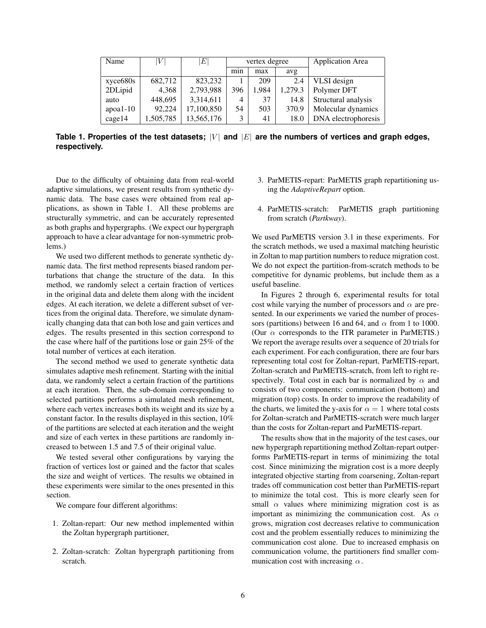| Name       | V         | $E\vert$   | vertex degree |       |         | <b>Application Area</b> |
|------------|-----------|------------|---------------|-------|---------|-------------------------|
|            |           |            | min           | max   | avg     |                         |
| xyce680s   | 682,712   | 823,232    |               | 209   | 2.4     | VLSI design             |
| 2DLipid    | 4,368     | 2,793,988  | 396           | 1,984 | 1,279.3 | Polymer DFT             |
| auto       | 448,695   | 3,314,611  | 4             | 37    | 14.8    | Structural analysis     |
| $apoa1-10$ | 92,224    | 17,100,850 | 54            | 503   | 370.9   | Molecular dynamics      |
| cage14     | 1,505,785 | 13,565,176 | 2             | 41    | 18.0    | DNA electrophoresis     |

Table 1. Properties of the test datasets;  $|V|$  and  $|E|$  are the numbers of vertices and graph edges, **respectively.**

Due to the difficulty of obtaining data from real-world adaptive simulations, we present results from synthetic dynamic data. The base cases were obtained from real applications, as shown in Table 1. All these problems are structurally symmetric, and can be accurately represented as both graphs and hypergraphs. (We expect our hypergraph approach to have a clear advantage for non-symmetric problems.)

We used two different methods to generate synthetic dynamic data. The first method represents biased random perturbations that change the structure of the data. In this method, we randomly select a certain fraction of vertices in the original data and delete them along with the incident edges. At each iteration, we delete a different subset of vertices from the original data. Therefore, we simulate dynamically changing data that can both lose and gain vertices and edges. The results presented in this section correspond to the case where half of the partitions lose or gain 25% of the total number of vertices at each iteration.

The second method we used to generate synthetic data simulates adaptive mesh refinement. Starting with the initial data, we randomly select a certain fraction of the partitions at each iteration. Then, the sub-domain corresponding to selected partitions performs a simulated mesh refinement, where each vertex increases both its weight and its size by a constant factor. In the results displayed in this section, 10% of the partitions are selected at each iteration and the weight and size of each vertex in these partitions are randomly increased to between 1.5 and 7.5 of their original value.

We tested several other configurations by varying the fraction of vertices lost or gained and the factor that scales the size and weight of vertices. The results we obtained in these experiments were similar to the ones presented in this section.

We compare four different algorithms:

- 1. Zoltan-repart: Our new method implemented within the Zoltan hypergraph partitioner,
- 2. Zoltan-scratch: Zoltan hypergraph partitioning from scratch.
- 3. ParMETIS-repart: ParMETIS graph repartitioning using the *AdaptiveRepart* option.
- 4. ParMETIS-scratch: ParMETIS graph partitioning from scratch (*Partkway*).

We used ParMETIS version 3.1 in these experiments. For the scratch methods, we used a maximal matching heuristic in Zoltan to map partition numbers to reduce migration cost. We do not expect the partition-from-scratch methods to be competitive for dynamic problems, but include them as a useful baseline.

In Figures 2 through 6, experimental results for total cost while varying the number of processors and  $\alpha$  are presented. In our experiments we varied the number of processors (partitions) between 16 and 64, and  $\alpha$  from 1 to 1000. (Our  $\alpha$  corresponds to the ITR parameter in ParMETIS.) We report the average results over a sequence of 20 trials for each experiment. For each configuration, there are four bars representing total cost for Zoltan-repart, ParMETIS-repart, Zoltan-scratch and ParMETIS-scratch, from left to right respectively. Total cost in each bar is normalized by  $\alpha$  and consists of two components: communication (bottom) and migration (top) costs. In order to improve the readability of the charts, we limited the y-axis for  $\alpha = 1$  where total costs for Zoltan-scratch and ParMETIS-scratch were much larger than the costs for Zoltan-repart and ParMETIS-repart.

The results show that in the majority of the test cases, our new hypergraph repartitioning method Zoltan-repart outperforms ParMETIS-repart in terms of minimizing the total cost. Since minimizing the migration cost is a more deeply integrated objective starting from coarsening, Zoltan-repart trades off communication cost better than ParMETIS-repart to minimize the total cost. This is more clearly seen for small  $\alpha$  values where minimizing migration cost is as important as minimizing the communication cost. As  $\alpha$ grows, migration cost decreases relative to communication cost and the problem essentially reduces to minimizing the communication cost alone. Due to increased emphasis on communication volume, the partitioners find smaller communication cost with increasing  $\alpha$ .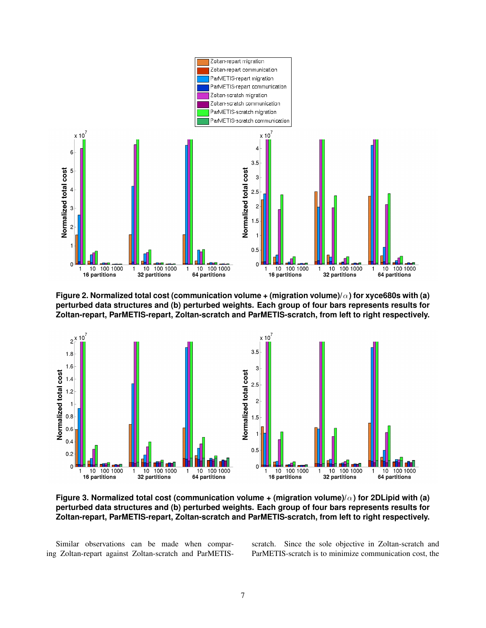

**Figure 2. Normalized total cost (communication volume + (migration volume)/**α**) for xyce680s with (a) perturbed data structures and (b) perturbed weights. Each group of four bars represents results for Zoltan-repart, ParMETIS-repart, Zoltan-scratch and ParMETIS-scratch, from left to right respectively.**



**Figure 3. Normalized total cost (communication volume + (migration volume)/**α**) for 2DLipid with (a) perturbed data structures and (b) perturbed weights. Each group of four bars represents results for Zoltan-repart, ParMETIS-repart, Zoltan-scratch and ParMETIS-scratch, from left to right respectively.**

Similar observations can be made when comparing Zoltan-repart against Zoltan-scratch and ParMETIS- scratch. Since the sole objective in Zoltan-scratch and ParMETIS-scratch is to minimize communication cost, the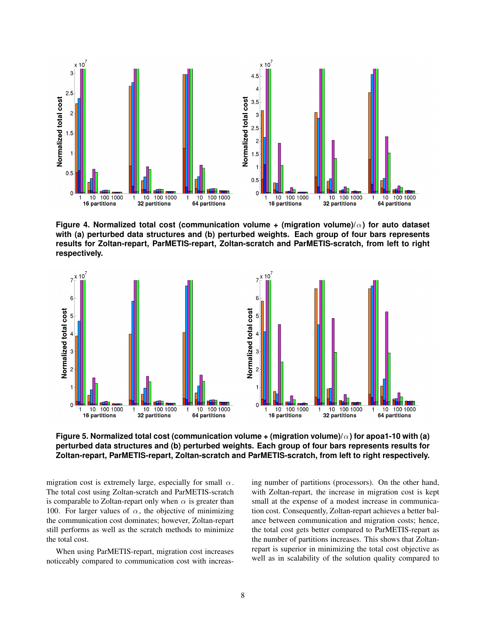

**Figure 4. Normalized total cost (communication volume + (migration volume)/**α**) for auto dataset with (a) perturbed data structures and (b) perturbed weights. Each group of four bars represents results for Zoltan-repart, ParMETIS-repart, Zoltan-scratch and ParMETIS-scratch, from left to right respectively.**



**Figure 5. Normalized total cost (communication volume + (migration volume)/**α**) for apoa1-10 with (a) perturbed data structures and (b) perturbed weights. Each group of four bars represents results for Zoltan-repart, ParMETIS-repart, Zoltan-scratch and ParMETIS-scratch, from left to right respectively.**

migration cost is extremely large, especially for small  $\alpha$ . The total cost using Zoltan-scratch and ParMETIS-scratch is comparable to Zoltan-repart only when  $\alpha$  is greater than 100. For larger values of  $\alpha$ , the objective of minimizing the communication cost dominates; however, Zoltan-repart still performs as well as the scratch methods to minimize the total cost.

When using ParMETIS-repart, migration cost increases noticeably compared to communication cost with increasing number of partitions (processors). On the other hand, with Zoltan-repart, the increase in migration cost is kept small at the expense of a modest increase in communication cost. Consequently, Zoltan-repart achieves a better balance between communication and migration costs; hence, the total cost gets better compared to ParMETIS-repart as the number of partitions increases. This shows that Zoltanrepart is superior in minimizing the total cost objective as well as in scalability of the solution quality compared to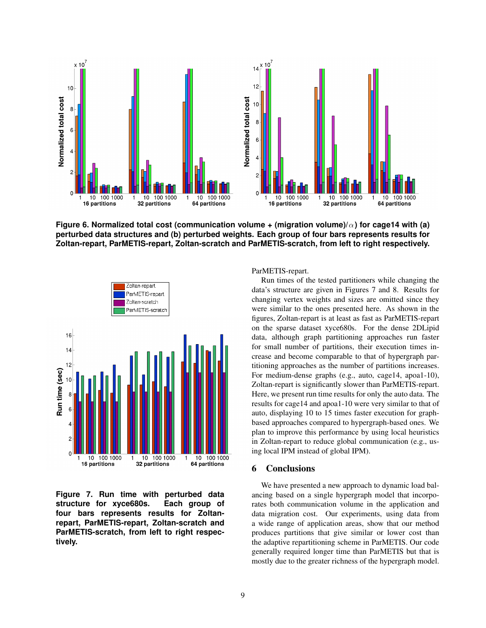

**Figure 6. Normalized total cost (communication volume + (migration volume)/**α**) for cage14 with (a) perturbed data structures and (b) perturbed weights. Each group of four bars represents results for Zoltan-repart, ParMETIS-repart, Zoltan-scratch and ParMETIS-scratch, from left to right respectively.**



**Figure 7. Run time with perturbed data structure for xyce680s. Each group of four bars represents results for Zoltanrepart, ParMETIS-repart, Zoltan-scratch and ParMETIS-scratch, from left to right respectively.**

ParMETIS-repart.

Run times of the tested partitioners while changing the data's structure are given in Figures 7 and 8. Results for changing vertex weights and sizes are omitted since they were similar to the ones presented here. As shown in the figures, Zoltan-repart is at least as fast as ParMETIS-repart on the sparse dataset xyce680s. For the dense 2DLipid data, although graph partitioning approaches run faster for small number of partitions, their execution times increase and become comparable to that of hypergraph partitioning approaches as the number of partitions increases. For medium-dense graphs (e.g., auto, cage14, apoa1-10), Zoltan-repart is significantly slower than ParMETIS-repart. Here, we present run time results for only the auto data. The results for cage14 and apoa1-10 were very similar to that of auto, displaying 10 to 15 times faster execution for graphbased approaches compared to hypergraph-based ones. We plan to improve this performance by using local heuristics in Zoltan-repart to reduce global communication (e.g., using local IPM instead of global IPM).

#### 6 Conclusions

We have presented a new approach to dynamic load balancing based on a single hypergraph model that incorporates both communication volume in the application and data migration cost. Our experiments, using data from a wide range of application areas, show that our method produces partitions that give similar or lower cost than the adaptive repartitioning scheme in ParMETIS. Our code generally required longer time than ParMETIS but that is mostly due to the greater richness of the hypergraph model.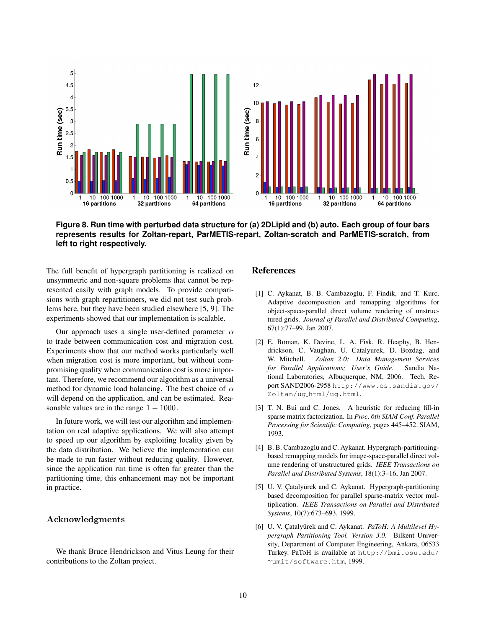

**Figure 8. Run time with perturbed data structure for (a) 2DLipid and (b) auto. Each group of four bars represents results for Zoltan-repart, ParMETIS-repart, Zoltan-scratch and ParMETIS-scratch, from left to right respectively.**

The full benefit of hypergraph partitioning is realized on unsymmetric and non-square problems that cannot be represented easily with graph models. To provide comparisions with graph repartitioners, we did not test such problems here, but they have been studied elsewhere [5, 9]. The experiments showed that our implementation is scalable.

Our approach uses a single user-defined parameter  $\alpha$ to trade between communication cost and migration cost. Experiments show that our method works particularly well when migration cost is more important, but without compromising quality when communication cost is more important. Therefore, we recommend our algorithm as a universal method for dynamic load balancing. The best choice of  $\alpha$ will depend on the application, and can be estimated. Reasonable values are in the range  $1 - 1000$ .

In future work, we will test our algorithm and implementation on real adaptive applications. We will also attempt to speed up our algorithm by exploiting locality given by the data distribution. We believe the implementation can be made to run faster without reducing quality. However, since the application run time is often far greater than the partitioning time, this enhancement may not be important in practice.

# Acknowledgments

We thank Bruce Hendrickson and Vitus Leung for their contributions to the Zoltan project.

# References

- [1] C. Aykanat, B. B. Cambazoglu, F. Findik, and T. Kurc. Adaptive decomposition and remapping algorithms for object-space-parallel direct volume rendering of unstructured grids. *Journal of Parallel and Distributed Computing*, 67(1):77–99, Jan 2007.
- [2] E. Boman, K. Devine, L. A. Fisk, R. Heaphy, B. Hendrickson, C. Vaughan, U. Catalyurek, D. Bozdag, and W. Mitchell. *Zoltan 2.0: Data Management Services for Parallel Applications; User's Guide*. Sandia National Laboratories, Albuquerque, NM, 2006. Tech. Report SAND2006-2958 http://www.cs.sandia.gov/ Zoltan/ug html/ug.html.
- [3] T. N. Bui and C. Jones. A heuristic for reducing fill-in sparse matrix factorization. In *Proc. 6th SIAM Conf. Parallel Processing for Scientific Computing*, pages 445–452. SIAM, 1993.
- [4] B. B. Cambazoglu and C. Aykanat. Hypergraph-partitioningbased remapping models for image-space-parallel direct volume rendering of unstructured grids. *IEEE Transactions on Parallel and Distributed Systems*, 18(1):3–16, Jan 2007.
- [5] U. V. Catalyurek and C. Aykanat. Hypergraph-partitioning based decomposition for parallel sparse-matrix vector multiplication. *IEEE Transactions on Parallel and Distributed Systems*, 10(7):673–693, 1999.
- [6] U. V. Çatalyürek and C. Aykanat. *PaToH: A Multilevel Hypergraph Partitioning Tool, Version 3.0*. Bilkent University, Department of Computer Engineering, Ankara, 06533 Turkey. PaToH is available at http://bmi.osu.edu/ <sup>∼</sup>umit/software.htm, 1999.